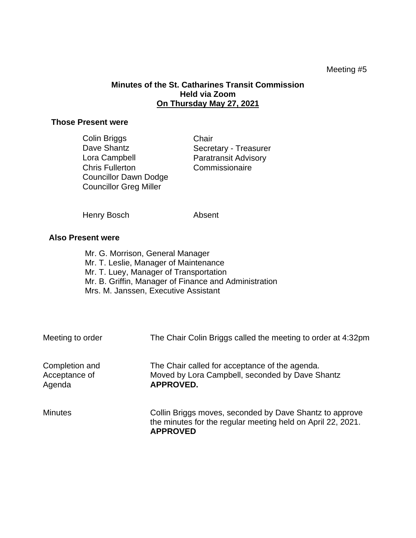## Meeting #5

## **Minutes of the St. Catharines Transit Commission Held via Zoom On Thursday May 27, 2021**

## **Those Present were**

| Colin Briggs                  | Chair                       |
|-------------------------------|-----------------------------|
| Dave Shantz                   | Secretary - Treasurer       |
| Lora Campbell                 | <b>Paratransit Advisory</b> |
| <b>Chris Fullerton</b>        | Commissionaire              |
| <b>Councillor Dawn Dodge</b>  |                             |
| <b>Councillor Greg Miller</b> |                             |

Henry Bosch Absent

## **Also Present were**

Mr. G. Morrison, General Manager Mr. T. Leslie, Manager of Maintenance Mr. T. Luey, Manager of Transportation Mr. B. Griffin, Manager of Finance and Administration Mrs. M. Janssen, Executive Assistant

| Meeting to order                          | The Chair Colin Briggs called the meeting to order at 4:32pm                                                                              |
|-------------------------------------------|-------------------------------------------------------------------------------------------------------------------------------------------|
| Completion and<br>Acceptance of<br>Agenda | The Chair called for acceptance of the agenda.<br>Moved by Lora Campbell, seconded by Dave Shantz<br><b>APPROVED.</b>                     |
| <b>Minutes</b>                            | Collin Briggs moves, seconded by Dave Shantz to approve<br>the minutes for the regular meeting held on April 22, 2021.<br><b>APPROVED</b> |